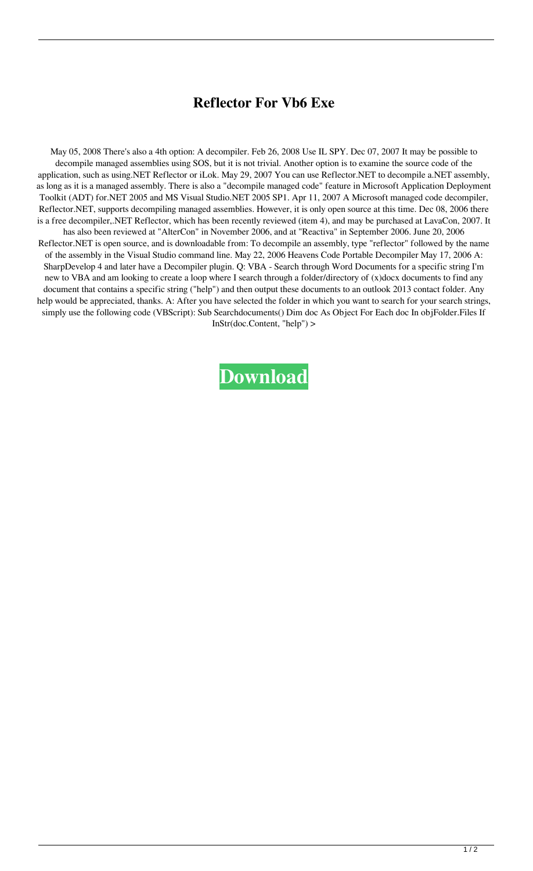## **Reflector For Vb6 Exe**

May 05, 2008 There's also a 4th option: A decompiler. Feb 26, 2008 Use IL SPY. Dec 07, 2007 It may be possible to decompile managed assemblies using SOS, but it is not trivial. Another option is to examine the source code of the application, such as using.NET Reflector or iLok. May 29, 2007 You can use Reflector.NET to decompile a.NET assembly, as long as it is a managed assembly. There is also a "decompile managed code" feature in Microsoft Application Deployment Toolkit (ADT) for.NET 2005 and MS Visual Studio.NET 2005 SP1. Apr 11, 2007 A Microsoft managed code decompiler, Reflector.NET, supports decompiling managed assemblies. However, it is only open source at this time. Dec 08, 2006 there is a free decompiler,.NET Reflector, which has been recently reviewed (item 4), and may be purchased at LavaCon, 2007. It has also been reviewed at "AlterCon" in November 2006, and at "Reactiva" in September 2006. June 20, 2006 Reflector.NET is open source, and is downloadable from: To decompile an assembly, type "reflector" followed by the name of the assembly in the Visual Studio command line. May 22, 2006 Heavens Code Portable Decompiler May 17, 2006 A: SharpDevelop 4 and later have a Decompiler plugin. Q: VBA - Search through Word Documents for a specific string I'm new to VBA and am looking to create a loop where I search through a folder/directory of (x)docx documents to find any document that contains a specific string ("help") and then output these documents to an outlook 2013 contact folder. Any help would be appreciated, thanks. A: After you have selected the folder in which you want to search for your search strings, simply use the following code (VBScript): Sub Searchdocuments() Dim doc As Object For Each doc In objFolder.Files If InStr(doc.Content, "help") >

**[Download](https://cinurl.com/2l09ug)**